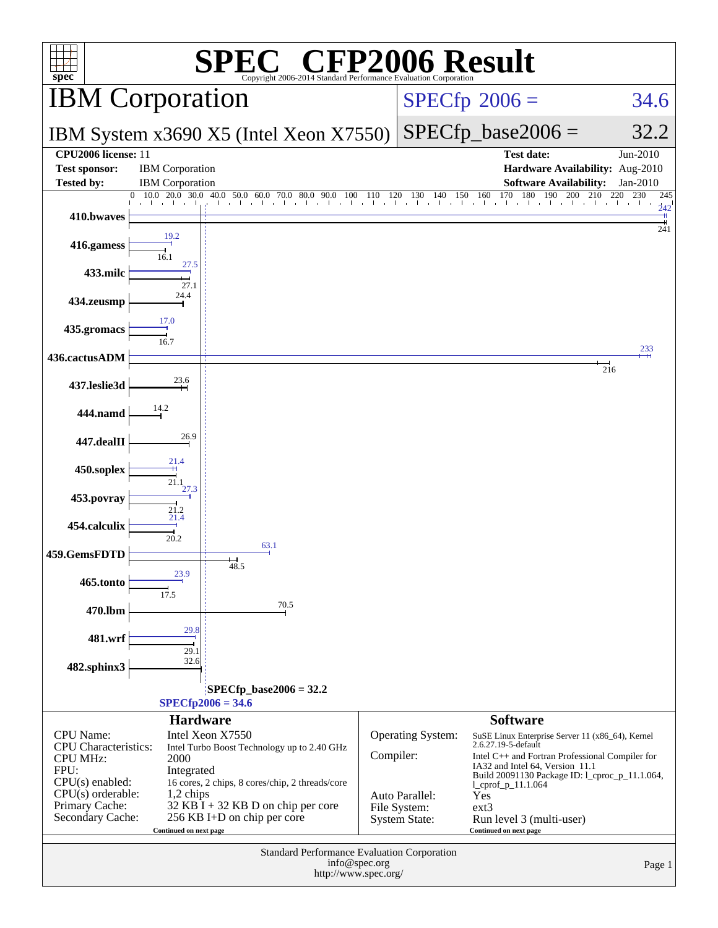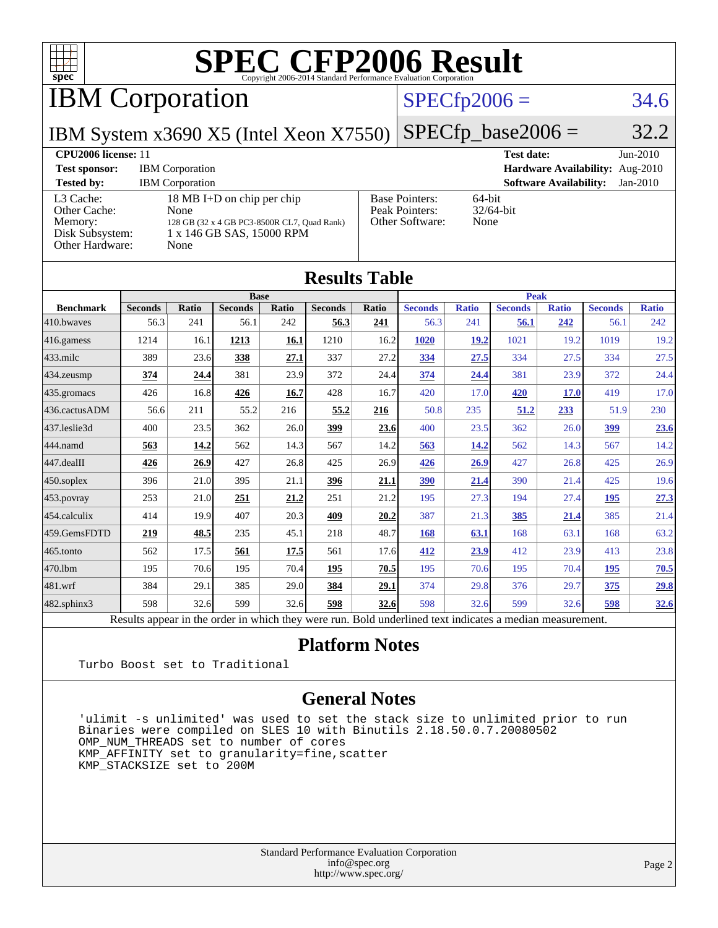

IBM Corporation

### $SPECfp2006 = 34.6$  $SPECfp2006 = 34.6$

IBM System x3690 X5 (Intel Xeon X7550)

 $SPECTp\_base2006 = 32.2$ 

**[CPU2006 license:](http://www.spec.org/auto/cpu2006/Docs/result-fields.html#CPU2006license)** 11 **[Test date:](http://www.spec.org/auto/cpu2006/Docs/result-fields.html#Testdate)** Jun-2010 **[Test sponsor:](http://www.spec.org/auto/cpu2006/Docs/result-fields.html#Testsponsor)** IBM Corporation **[Hardware Availability:](http://www.spec.org/auto/cpu2006/Docs/result-fields.html#HardwareAvailability)** Aug-2010 **[Tested by:](http://www.spec.org/auto/cpu2006/Docs/result-fields.html#Testedby)** IBM Corporation **[Software Availability:](http://www.spec.org/auto/cpu2006/Docs/result-fields.html#SoftwareAvailability)** Jan-2010 [L3 Cache:](http://www.spec.org/auto/cpu2006/Docs/result-fields.html#L3Cache) 18 MB I+D on chip per chip<br>Other Cache: None [Other Cache:](http://www.spec.org/auto/cpu2006/Docs/result-fields.html#OtherCache) [Memory:](http://www.spec.org/auto/cpu2006/Docs/result-fields.html#Memory) 128 GB (32 x 4 GB PC3-8500R CL7, Quad Rank) [Disk Subsystem:](http://www.spec.org/auto/cpu2006/Docs/result-fields.html#DiskSubsystem) 1 x 146 GB SAS, 15000 RPM [Other Hardware:](http://www.spec.org/auto/cpu2006/Docs/result-fields.html#OtherHardware) None [Base Pointers:](http://www.spec.org/auto/cpu2006/Docs/result-fields.html#BasePointers) 64-bit<br>Peak Pointers: 32/64-bit [Peak Pointers:](http://www.spec.org/auto/cpu2006/Docs/result-fields.html#PeakPointers) [Other Software:](http://www.spec.org/auto/cpu2006/Docs/result-fields.html#OtherSoftware) None

| <b>Results Table</b> |                                                                                                          |              |                |       |                |       |                |              |                |              |                |              |  |
|----------------------|----------------------------------------------------------------------------------------------------------|--------------|----------------|-------|----------------|-------|----------------|--------------|----------------|--------------|----------------|--------------|--|
| <b>Base</b>          |                                                                                                          |              |                |       |                |       | <b>Peak</b>    |              |                |              |                |              |  |
| <b>Benchmark</b>     | <b>Seconds</b>                                                                                           | <b>Ratio</b> | <b>Seconds</b> | Ratio | <b>Seconds</b> | Ratio | <b>Seconds</b> | <b>Ratio</b> | <b>Seconds</b> | <b>Ratio</b> | <b>Seconds</b> | <b>Ratio</b> |  |
| 410.bwayes           | 56.3                                                                                                     | 241          | 56.1           | 242   | 56.3           | 241   | 56.3           | 241          | 56.1           | 242          | 56.1           | 242          |  |
| 416.gamess           | 1214                                                                                                     | 16.1         | 1213           | 16.1  | 1210           | 16.2  | <b>1020</b>    | 19.2         | 1021           | 19.2         | 1019           | 19.2         |  |
| $433$ .milc          | 389                                                                                                      | 23.6         | 338            | 27.1  | 337            | 27.2  | 334            | 27.5         | 334            | 27.5         | 334            | 27.5         |  |
| $434$ . zeusmp       | 374                                                                                                      | 24.4         | 381            | 23.9  | 372            | 24.4  | 374            | 24.4         | 381            | 23.9         | 372            | 24.4         |  |
| $435.$ gromacs       | 426                                                                                                      | 16.8         | 426            | 16.7  | 428            | 16.7  | 420            | 17.0         | 420            | <b>17.0</b>  | 419            | 17.0         |  |
| 436.cactusADM        | 56.6                                                                                                     | 211          | 55.2           | 216   | 55.2           | 216   | 50.8           | 235          | 51.2           | 233          | 51.9           | 230          |  |
| 437.leslie3d         | 400                                                                                                      | 23.5         | 362            | 26.0  | 399            | 23.6  | 400            | 23.5         | 362            | 26.0         | 399            | <u>23.6</u>  |  |
| 444.namd             | 563                                                                                                      | 14.2         | 562            | 14.3  | 567            | 14.2  | 563            | 14.2         | 562            | 14.3         | 567            | 14.2         |  |
| 447.dealII           | 426                                                                                                      | 26.9         | 427            | 26.8  | 425            | 26.9  | 426            | 26.9         | 427            | 26.8         | 425            | 26.9         |  |
| $450$ .soplex        | 396                                                                                                      | 21.0         | 395            | 21.1  | 396            | 21.1  | 390            | 21.4         | 390            | 21.4         | 425            | 19.6         |  |
| $453$ .povray        | 253                                                                                                      | 21.0         | 251            | 21.2  | 251            | 21.2  | 195            | 27.3         | 194            | 27.4         | 195            | 27.3         |  |
| $ 454$ .calculix     | 414                                                                                                      | 19.9         | 407            | 20.3  | 409            | 20.2  | 387            | 21.3         | 385            | 21.4         | 385            | 21.4         |  |
| 459.GemsFDTD         | 219                                                                                                      | 48.5         | 235            | 45.1  | 218            | 48.7  | 168            | 63.1         | 168            | 63.1         | 168            | 63.2         |  |
| $465$ .tonto         | 562                                                                                                      | 17.5         | 561            | 17.5  | 561            | 17.6  | 412            | 23.9         | 412            | 23.9         | 413            | 23.8         |  |
| 470.1bm              | 195                                                                                                      | 70.6         | 195            | 70.4  | 195            | 70.5  | 195            | 70.6         | 195            | 70.4         | 195            | 70.5         |  |
| $ 481$ .wrf          | 384                                                                                                      | 29.1         | 385            | 29.0  | 384            | 29.1  | 374            | 29.8         | 376            | 29.7         | 375            | 29.8         |  |
| $482$ .sphinx $3$    | 598                                                                                                      | 32.6         | 599            | 32.6  | 598            | 32.6  | 598            | 32.6         | 599            | 32.6         | 598            | <u>32.6</u>  |  |
|                      | Results appear in the order in which they were run. Bold underlined text indicates a median measurement. |              |                |       |                |       |                |              |                |              |                |              |  |

#### **[Platform Notes](http://www.spec.org/auto/cpu2006/Docs/result-fields.html#PlatformNotes)**

Turbo Boost set to Traditional

#### **[General Notes](http://www.spec.org/auto/cpu2006/Docs/result-fields.html#GeneralNotes)**

 'ulimit -s unlimited' was used to set the stack size to unlimited prior to run Binaries were compiled on SLES 10 with Binutils 2.18.50.0.7.20080502 OMP NUM THREADS set to number of cores KMP\_AFFINITY set to granularity=fine,scatter KMP\_STACKSIZE set to 200M

> Standard Performance Evaluation Corporation [info@spec.org](mailto:info@spec.org) <http://www.spec.org/>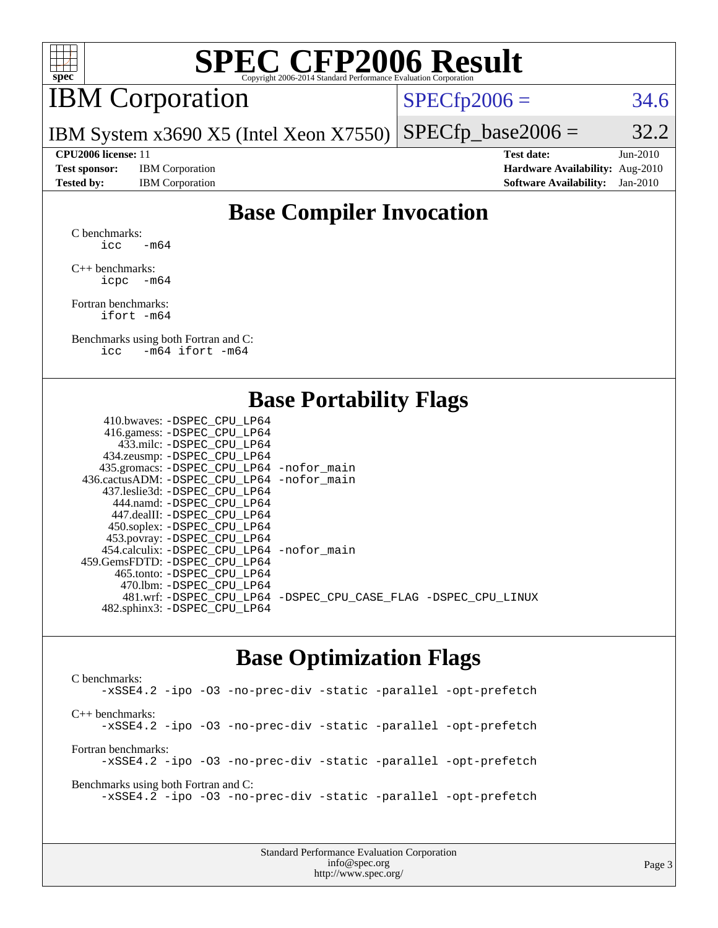

# IBM Corporation

 $SPECTp2006 = 34.6$ 

IBM System x3690 X5 (Intel Xeon X7550)  $SPECTp\_base2006 = 32.2$ 

**[CPU2006 license:](http://www.spec.org/auto/cpu2006/Docs/result-fields.html#CPU2006license)** 11 **[Test date:](http://www.spec.org/auto/cpu2006/Docs/result-fields.html#Testdate)** Jun-2010 **[Test sponsor:](http://www.spec.org/auto/cpu2006/Docs/result-fields.html#Testsponsor)** IBM Corporation **[Hardware Availability:](http://www.spec.org/auto/cpu2006/Docs/result-fields.html#HardwareAvailability)** Aug-2010 **[Tested by:](http://www.spec.org/auto/cpu2006/Docs/result-fields.html#Testedby)** IBM Corporation **[Software Availability:](http://www.spec.org/auto/cpu2006/Docs/result-fields.html#SoftwareAvailability)** Jan-2010

### **[Base Compiler Invocation](http://www.spec.org/auto/cpu2006/Docs/result-fields.html#BaseCompilerInvocation)**

[C benchmarks](http://www.spec.org/auto/cpu2006/Docs/result-fields.html#Cbenchmarks): icc  $-m64$ 

[C++ benchmarks:](http://www.spec.org/auto/cpu2006/Docs/result-fields.html#CXXbenchmarks) [icpc -m64](http://www.spec.org/cpu2006/results/res2010q3/cpu2006-20100719-12615.flags.html#user_CXXbase_intel_icpc_64bit_bedb90c1146cab66620883ef4f41a67e)

[Fortran benchmarks](http://www.spec.org/auto/cpu2006/Docs/result-fields.html#Fortranbenchmarks): [ifort -m64](http://www.spec.org/cpu2006/results/res2010q3/cpu2006-20100719-12615.flags.html#user_FCbase_intel_ifort_64bit_ee9d0fb25645d0210d97eb0527dcc06e)

[Benchmarks using both Fortran and C](http://www.spec.org/auto/cpu2006/Docs/result-fields.html#BenchmarksusingbothFortranandC): [icc -m64](http://www.spec.org/cpu2006/results/res2010q3/cpu2006-20100719-12615.flags.html#user_CC_FCbase_intel_icc_64bit_0b7121f5ab7cfabee23d88897260401c) [ifort -m64](http://www.spec.org/cpu2006/results/res2010q3/cpu2006-20100719-12615.flags.html#user_CC_FCbase_intel_ifort_64bit_ee9d0fb25645d0210d97eb0527dcc06e)

### **[Base Portability Flags](http://www.spec.org/auto/cpu2006/Docs/result-fields.html#BasePortabilityFlags)**

| 410.bwaves: -DSPEC CPU LP64                |                                                                |
|--------------------------------------------|----------------------------------------------------------------|
| 416.gamess: -DSPEC_CPU_LP64                |                                                                |
| 433.milc: -DSPEC CPU LP64                  |                                                                |
| 434.zeusmp: -DSPEC_CPU_LP64                |                                                                |
| 435.gromacs: -DSPEC_CPU_LP64 -nofor_main   |                                                                |
| 436.cactusADM: -DSPEC CPU LP64 -nofor main |                                                                |
| 437.leslie3d: -DSPEC CPU LP64              |                                                                |
| 444.namd: - DSPEC CPU LP64                 |                                                                |
| 447.dealII: -DSPEC CPU LP64                |                                                                |
| 450.soplex: -DSPEC_CPU_LP64                |                                                                |
| 453.povray: -DSPEC_CPU_LP64                |                                                                |
| 454.calculix: -DSPEC CPU LP64 -nofor main  |                                                                |
| 459.GemsFDTD: -DSPEC CPU LP64              |                                                                |
| 465.tonto: - DSPEC CPU LP64                |                                                                |
| 470.1bm: - DSPEC_CPU LP64                  |                                                                |
|                                            | 481.wrf: -DSPEC_CPU_LP64 -DSPEC_CPU_CASE_FLAG -DSPEC_CPU_LINUX |
| 482.sphinx3: -DSPEC_CPU_LP64               |                                                                |
|                                            |                                                                |

### **[Base Optimization Flags](http://www.spec.org/auto/cpu2006/Docs/result-fields.html#BaseOptimizationFlags)**

[C benchmarks](http://www.spec.org/auto/cpu2006/Docs/result-fields.html#Cbenchmarks): [-xSSE4.2](http://www.spec.org/cpu2006/results/res2010q3/cpu2006-20100719-12615.flags.html#user_CCbase_f-xSSE42_f91528193cf0b216347adb8b939d4107) [-ipo](http://www.spec.org/cpu2006/results/res2010q3/cpu2006-20100719-12615.flags.html#user_CCbase_f-ipo) [-O3](http://www.spec.org/cpu2006/results/res2010q3/cpu2006-20100719-12615.flags.html#user_CCbase_f-O3) [-no-prec-div](http://www.spec.org/cpu2006/results/res2010q3/cpu2006-20100719-12615.flags.html#user_CCbase_f-no-prec-div) [-static](http://www.spec.org/cpu2006/results/res2010q3/cpu2006-20100719-12615.flags.html#user_CCbase_f-static) [-parallel](http://www.spec.org/cpu2006/results/res2010q3/cpu2006-20100719-12615.flags.html#user_CCbase_f-parallel) [-opt-prefetch](http://www.spec.org/cpu2006/results/res2010q3/cpu2006-20100719-12615.flags.html#user_CCbase_f-opt-prefetch) [C++ benchmarks:](http://www.spec.org/auto/cpu2006/Docs/result-fields.html#CXXbenchmarks) [-xSSE4.2](http://www.spec.org/cpu2006/results/res2010q3/cpu2006-20100719-12615.flags.html#user_CXXbase_f-xSSE42_f91528193cf0b216347adb8b939d4107) [-ipo](http://www.spec.org/cpu2006/results/res2010q3/cpu2006-20100719-12615.flags.html#user_CXXbase_f-ipo) [-O3](http://www.spec.org/cpu2006/results/res2010q3/cpu2006-20100719-12615.flags.html#user_CXXbase_f-O3) [-no-prec-div](http://www.spec.org/cpu2006/results/res2010q3/cpu2006-20100719-12615.flags.html#user_CXXbase_f-no-prec-div) [-static](http://www.spec.org/cpu2006/results/res2010q3/cpu2006-20100719-12615.flags.html#user_CXXbase_f-static) [-parallel](http://www.spec.org/cpu2006/results/res2010q3/cpu2006-20100719-12615.flags.html#user_CXXbase_f-parallel) [-opt-prefetch](http://www.spec.org/cpu2006/results/res2010q3/cpu2006-20100719-12615.flags.html#user_CXXbase_f-opt-prefetch) [Fortran benchmarks](http://www.spec.org/auto/cpu2006/Docs/result-fields.html#Fortranbenchmarks): [-xSSE4.2](http://www.spec.org/cpu2006/results/res2010q3/cpu2006-20100719-12615.flags.html#user_FCbase_f-xSSE42_f91528193cf0b216347adb8b939d4107) [-ipo](http://www.spec.org/cpu2006/results/res2010q3/cpu2006-20100719-12615.flags.html#user_FCbase_f-ipo) [-O3](http://www.spec.org/cpu2006/results/res2010q3/cpu2006-20100719-12615.flags.html#user_FCbase_f-O3) [-no-prec-div](http://www.spec.org/cpu2006/results/res2010q3/cpu2006-20100719-12615.flags.html#user_FCbase_f-no-prec-div) [-static](http://www.spec.org/cpu2006/results/res2010q3/cpu2006-20100719-12615.flags.html#user_FCbase_f-static) [-parallel](http://www.spec.org/cpu2006/results/res2010q3/cpu2006-20100719-12615.flags.html#user_FCbase_f-parallel) [-opt-prefetch](http://www.spec.org/cpu2006/results/res2010q3/cpu2006-20100719-12615.flags.html#user_FCbase_f-opt-prefetch) [Benchmarks using both Fortran and C](http://www.spec.org/auto/cpu2006/Docs/result-fields.html#BenchmarksusingbothFortranandC): [-xSSE4.2](http://www.spec.org/cpu2006/results/res2010q3/cpu2006-20100719-12615.flags.html#user_CC_FCbase_f-xSSE42_f91528193cf0b216347adb8b939d4107) [-ipo](http://www.spec.org/cpu2006/results/res2010q3/cpu2006-20100719-12615.flags.html#user_CC_FCbase_f-ipo) [-O3](http://www.spec.org/cpu2006/results/res2010q3/cpu2006-20100719-12615.flags.html#user_CC_FCbase_f-O3) [-no-prec-div](http://www.spec.org/cpu2006/results/res2010q3/cpu2006-20100719-12615.flags.html#user_CC_FCbase_f-no-prec-div) [-static](http://www.spec.org/cpu2006/results/res2010q3/cpu2006-20100719-12615.flags.html#user_CC_FCbase_f-static) [-parallel](http://www.spec.org/cpu2006/results/res2010q3/cpu2006-20100719-12615.flags.html#user_CC_FCbase_f-parallel) [-opt-prefetch](http://www.spec.org/cpu2006/results/res2010q3/cpu2006-20100719-12615.flags.html#user_CC_FCbase_f-opt-prefetch)

> Standard Performance Evaluation Corporation [info@spec.org](mailto:info@spec.org) <http://www.spec.org/>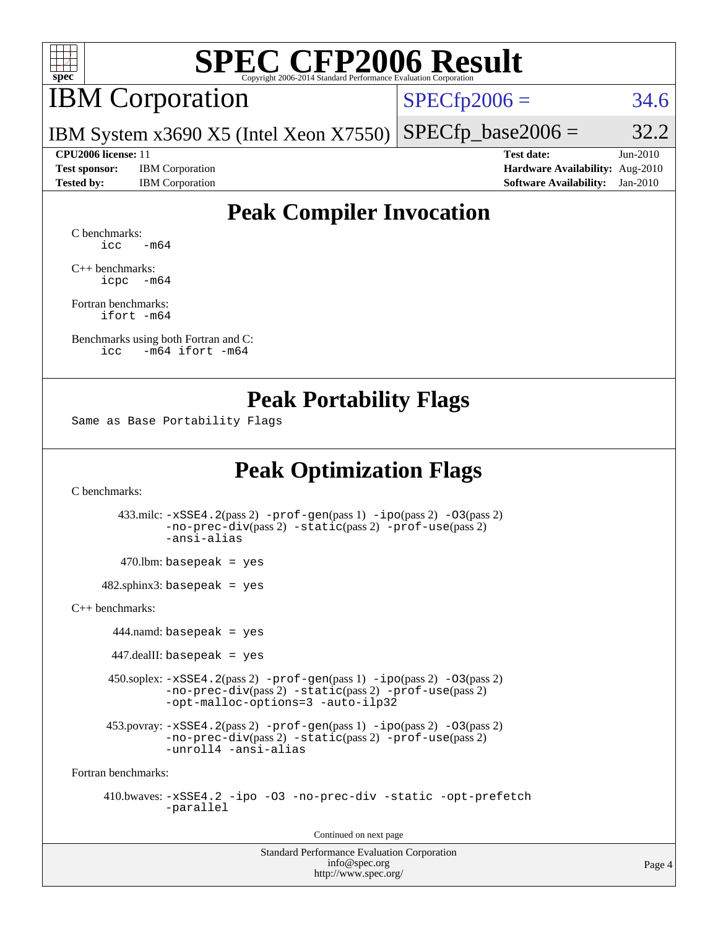

## IBM Corporation

 $SPECfp2006 = 34.6$  $SPECfp2006 = 34.6$ 

IBM System x3690 X5 (Intel Xeon X7550)  $SPECTp\_base2006 = 32.2$ 

**[Test sponsor:](http://www.spec.org/auto/cpu2006/Docs/result-fields.html#Testsponsor)** IBM Corporation **[Hardware Availability:](http://www.spec.org/auto/cpu2006/Docs/result-fields.html#HardwareAvailability)** Aug-2010

**[CPU2006 license:](http://www.spec.org/auto/cpu2006/Docs/result-fields.html#CPU2006license)** 11 **[Test date:](http://www.spec.org/auto/cpu2006/Docs/result-fields.html#Testdate)** Jun-2010 **[Tested by:](http://www.spec.org/auto/cpu2006/Docs/result-fields.html#Testedby)** IBM Corporation **[Software Availability:](http://www.spec.org/auto/cpu2006/Docs/result-fields.html#SoftwareAvailability)** Jan-2010

## **[Peak Compiler Invocation](http://www.spec.org/auto/cpu2006/Docs/result-fields.html#PeakCompilerInvocation)**

[C benchmarks](http://www.spec.org/auto/cpu2006/Docs/result-fields.html#Cbenchmarks):  $\text{icc}$   $-\text{m64}$ 

[C++ benchmarks:](http://www.spec.org/auto/cpu2006/Docs/result-fields.html#CXXbenchmarks) [icpc -m64](http://www.spec.org/cpu2006/results/res2010q3/cpu2006-20100719-12615.flags.html#user_CXXpeak_intel_icpc_64bit_bedb90c1146cab66620883ef4f41a67e)

[Fortran benchmarks](http://www.spec.org/auto/cpu2006/Docs/result-fields.html#Fortranbenchmarks): [ifort -m64](http://www.spec.org/cpu2006/results/res2010q3/cpu2006-20100719-12615.flags.html#user_FCpeak_intel_ifort_64bit_ee9d0fb25645d0210d97eb0527dcc06e)

[Benchmarks using both Fortran and C](http://www.spec.org/auto/cpu2006/Docs/result-fields.html#BenchmarksusingbothFortranandC): [icc -m64](http://www.spec.org/cpu2006/results/res2010q3/cpu2006-20100719-12615.flags.html#user_CC_FCpeak_intel_icc_64bit_0b7121f5ab7cfabee23d88897260401c) [ifort -m64](http://www.spec.org/cpu2006/results/res2010q3/cpu2006-20100719-12615.flags.html#user_CC_FCpeak_intel_ifort_64bit_ee9d0fb25645d0210d97eb0527dcc06e)

### **[Peak Portability Flags](http://www.spec.org/auto/cpu2006/Docs/result-fields.html#PeakPortabilityFlags)**

Same as Base Portability Flags

## **[Peak Optimization Flags](http://www.spec.org/auto/cpu2006/Docs/result-fields.html#PeakOptimizationFlags)**

[C benchmarks](http://www.spec.org/auto/cpu2006/Docs/result-fields.html#Cbenchmarks):

 433.milc: [-xSSE4.2](http://www.spec.org/cpu2006/results/res2010q3/cpu2006-20100719-12615.flags.html#user_peakPASS2_CFLAGSPASS2_LDFLAGS433_milc_f-xSSE42_f91528193cf0b216347adb8b939d4107)(pass 2) [-prof-gen](http://www.spec.org/cpu2006/results/res2010q3/cpu2006-20100719-12615.flags.html#user_peakPASS1_CFLAGSPASS1_LDFLAGS433_milc_prof_gen_e43856698f6ca7b7e442dfd80e94a8fc)(pass 1) [-ipo](http://www.spec.org/cpu2006/results/res2010q3/cpu2006-20100719-12615.flags.html#user_peakPASS2_CFLAGSPASS2_LDFLAGS433_milc_f-ipo)(pass 2) [-O3](http://www.spec.org/cpu2006/results/res2010q3/cpu2006-20100719-12615.flags.html#user_peakPASS2_CFLAGSPASS2_LDFLAGS433_milc_f-O3)(pass 2) [-no-prec-div](http://www.spec.org/cpu2006/results/res2010q3/cpu2006-20100719-12615.flags.html#user_peakPASS2_CFLAGSPASS2_LDFLAGS433_milc_f-no-prec-div)(pass 2) [-static](http://www.spec.org/cpu2006/results/res2010q3/cpu2006-20100719-12615.flags.html#user_peakPASS2_CFLAGSPASS2_LDFLAGS433_milc_f-static)(pass 2) [-prof-use](http://www.spec.org/cpu2006/results/res2010q3/cpu2006-20100719-12615.flags.html#user_peakPASS2_CFLAGSPASS2_LDFLAGS433_milc_prof_use_bccf7792157ff70d64e32fe3e1250b55)(pass 2) [-ansi-alias](http://www.spec.org/cpu2006/results/res2010q3/cpu2006-20100719-12615.flags.html#user_peakOPTIMIZE433_milc_f-ansi-alias)  $470.$ lbm: basepeak = yes 482.sphinx3: basepeak = yes [C++ benchmarks:](http://www.spec.org/auto/cpu2006/Docs/result-fields.html#CXXbenchmarks) 444.namd: basepeak = yes  $447$ .dealII: basepeak = yes 450.soplex: [-xSSE4.2](http://www.spec.org/cpu2006/results/res2010q3/cpu2006-20100719-12615.flags.html#user_peakPASS2_CXXFLAGSPASS2_LDFLAGS450_soplex_f-xSSE42_f91528193cf0b216347adb8b939d4107)(pass 2) [-prof-gen](http://www.spec.org/cpu2006/results/res2010q3/cpu2006-20100719-12615.flags.html#user_peakPASS1_CXXFLAGSPASS1_LDFLAGS450_soplex_prof_gen_e43856698f6ca7b7e442dfd80e94a8fc)(pass 1) [-ipo](http://www.spec.org/cpu2006/results/res2010q3/cpu2006-20100719-12615.flags.html#user_peakPASS2_CXXFLAGSPASS2_LDFLAGS450_soplex_f-ipo)(pass 2) [-O3](http://www.spec.org/cpu2006/results/res2010q3/cpu2006-20100719-12615.flags.html#user_peakPASS2_CXXFLAGSPASS2_LDFLAGS450_soplex_f-O3)(pass 2) [-no-prec-div](http://www.spec.org/cpu2006/results/res2010q3/cpu2006-20100719-12615.flags.html#user_peakPASS2_CXXFLAGSPASS2_LDFLAGS450_soplex_f-no-prec-div)(pass 2) [-static](http://www.spec.org/cpu2006/results/res2010q3/cpu2006-20100719-12615.flags.html#user_peakPASS2_CXXFLAGSPASS2_LDFLAGS450_soplex_f-static)(pass 2) [-prof-use](http://www.spec.org/cpu2006/results/res2010q3/cpu2006-20100719-12615.flags.html#user_peakPASS2_CXXFLAGSPASS2_LDFLAGS450_soplex_prof_use_bccf7792157ff70d64e32fe3e1250b55)(pass 2) [-opt-malloc-options=3](http://www.spec.org/cpu2006/results/res2010q3/cpu2006-20100719-12615.flags.html#user_peakOPTIMIZE450_soplex_f-opt-malloc-options_13ab9b803cf986b4ee62f0a5998c2238) [-auto-ilp32](http://www.spec.org/cpu2006/results/res2010q3/cpu2006-20100719-12615.flags.html#user_peakCXXOPTIMIZE450_soplex_f-auto-ilp32) 453.povray:  $-xSSE4$ . 2(pass 2)  $-prof-gen(pass 1) -ipo(pass 2) -O3(pass 2)$  $-prof-gen(pass 1) -ipo(pass 2) -O3(pass 2)$  $-prof-gen(pass 1) -ipo(pass 2) -O3(pass 2)$  $-prof-gen(pass 1) -ipo(pass 2) -O3(pass 2)$  $-prof-gen(pass 1) -ipo(pass 2) -O3(pass 2)$  $-prof-gen(pass 1) -ipo(pass 2) -O3(pass 2)$ [-no-prec-div](http://www.spec.org/cpu2006/results/res2010q3/cpu2006-20100719-12615.flags.html#user_peakPASS2_CXXFLAGSPASS2_LDFLAGS453_povray_f-no-prec-div)(pass 2) [-static](http://www.spec.org/cpu2006/results/res2010q3/cpu2006-20100719-12615.flags.html#user_peakPASS2_CXXFLAGSPASS2_LDFLAGS453_povray_f-static)(pass 2) [-prof-use](http://www.spec.org/cpu2006/results/res2010q3/cpu2006-20100719-12615.flags.html#user_peakPASS2_CXXFLAGSPASS2_LDFLAGS453_povray_prof_use_bccf7792157ff70d64e32fe3e1250b55)(pass 2) [-unroll4](http://www.spec.org/cpu2006/results/res2010q3/cpu2006-20100719-12615.flags.html#user_peakCXXOPTIMIZE453_povray_f-unroll_4e5e4ed65b7fd20bdcd365bec371b81f) [-ansi-alias](http://www.spec.org/cpu2006/results/res2010q3/cpu2006-20100719-12615.flags.html#user_peakCXXOPTIMIZE453_povray_f-ansi-alias) [Fortran benchmarks](http://www.spec.org/auto/cpu2006/Docs/result-fields.html#Fortranbenchmarks):

 410.bwaves: [-xSSE4.2](http://www.spec.org/cpu2006/results/res2010q3/cpu2006-20100719-12615.flags.html#user_peakOPTIMIZE410_bwaves_f-xSSE42_f91528193cf0b216347adb8b939d4107) [-ipo](http://www.spec.org/cpu2006/results/res2010q3/cpu2006-20100719-12615.flags.html#user_peakOPTIMIZE410_bwaves_f-ipo) [-O3](http://www.spec.org/cpu2006/results/res2010q3/cpu2006-20100719-12615.flags.html#user_peakOPTIMIZE410_bwaves_f-O3) [-no-prec-div](http://www.spec.org/cpu2006/results/res2010q3/cpu2006-20100719-12615.flags.html#user_peakOPTIMIZE410_bwaves_f-no-prec-div) [-static](http://www.spec.org/cpu2006/results/res2010q3/cpu2006-20100719-12615.flags.html#user_peakOPTIMIZE410_bwaves_f-static) [-opt-prefetch](http://www.spec.org/cpu2006/results/res2010q3/cpu2006-20100719-12615.flags.html#user_peakOPTIMIZE410_bwaves_f-opt-prefetch) [-parallel](http://www.spec.org/cpu2006/results/res2010q3/cpu2006-20100719-12615.flags.html#user_peakOPTIMIZE410_bwaves_f-parallel)

Continued on next page

Standard Performance Evaluation Corporation [info@spec.org](mailto:info@spec.org) <http://www.spec.org/>